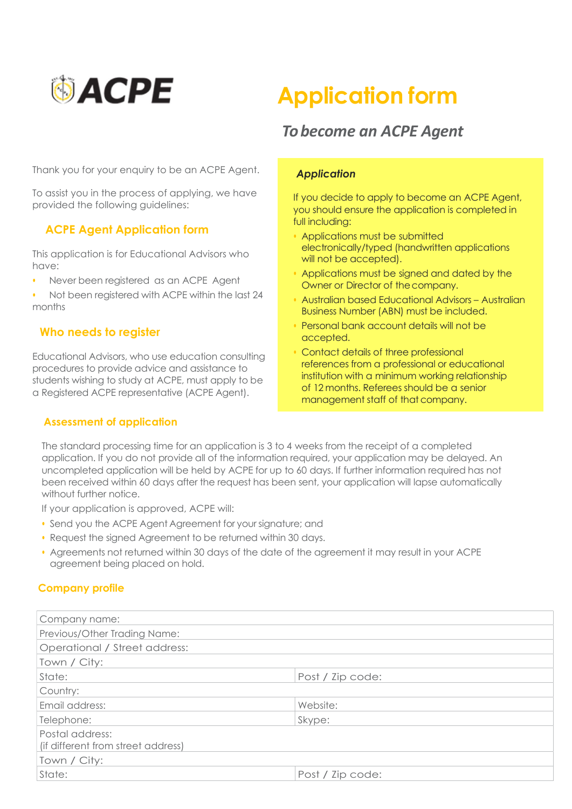

# **SACPE** Application form

## To become an ACPE Agent

Thank you for your enquiry to be an ACPE Agent.

provided the following guidelines: To assist you in the process of applying, we have

#### If  $\overline{OP}$  Agent, Application form ACPE Agent Application form

This application is for Educational This application is for Educational Advisors who<br>have:  $w \circ$ . have:

• Applications must be signed and data by the signed and dated by the signed and dated by the signed by the signed and dated by the signed and dated by the signed and dated by the signed and dated by the signed and dated b • Never been registered as an ACPE Agent

• Not been registered with ACPE within the last 24 • Australian based Educational Advisors – Australian months

#### Business Number (ABN) must be included. Who needs to register

Educational Advisors, who use education consulting procedures to provide advice and assistance to .<br>students wishing to study at ACPE, must apply to be of 12 months.<br>I Registered ACPF representative (ACPF Ad management staff of that company. a Registered ACPE representative (ACPE Agent).

#### Assessment of application

#### **Application**

If you decide to apply to become an ACPE Agent, you should ensure the application is completed in full including:

- Applications must be submitted electronically/typed (handwritten applications will not be accepted).
- Applications must be signed and dated by the Owner or Director of the company.
- Australian based Educational Advisors Australian Business Number (ABN) must be included.
- Personal bank account details will not be accepted.
- Contact details of three professional references from a professional or educational institution with a minimum working relationship of 12 months. Referees should be a senior management staff of that company.

The standard processing time for an application is 3 to 4 weeks from the receipt of a completed application. If you do not provide all of the information required, your application may be delayed. An uncompleted application will be held by ACPE for up to 60 days. If further information required has not been received within 60 days after the request has been sent, your application will lapse automatically without further notice.

If your application is approved, ACPE will:

- Send you the ACPE Agent Agreement for your signature; and
- Request the signed Agreement to be returned within 30 days.
- Agreements not returned within 30 days of the date of the agreement it may result in your ACPE agreement being placed on hold.

#### Company profile

| Company name:                                         |                  |  |
|-------------------------------------------------------|------------------|--|
| Previous/Other Trading Name:                          |                  |  |
| Operational / Street address:                         |                  |  |
| Town / City:                                          |                  |  |
| State:                                                | Post / Zip code: |  |
| Country:                                              |                  |  |
| Email address:                                        | Website:         |  |
| Telephone:                                            | Skype:           |  |
| Postal address:<br>(if different from street address) |                  |  |
| Town / City:                                          |                  |  |
| State:                                                | Post / Zip code: |  |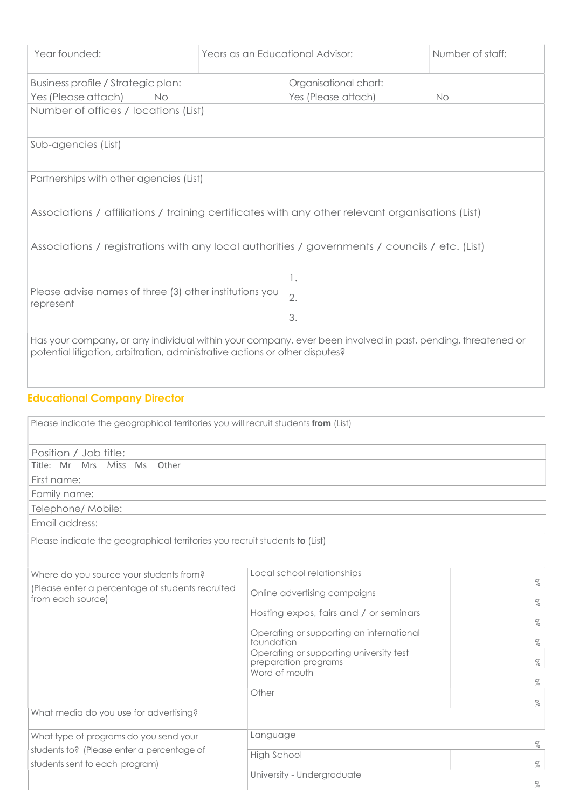| Year founded:                                                                                                                                                                               | Years as an Educational Advisor: |                     | Number of staff: |
|---------------------------------------------------------------------------------------------------------------------------------------------------------------------------------------------|----------------------------------|---------------------|------------------|
|                                                                                                                                                                                             |                                  |                     |                  |
| Business profile / Strategic plan:                                                                                                                                                          |                                  |                     |                  |
| Yes (Please attach)<br>No                                                                                                                                                                   |                                  | Yes (Please attach) | No               |
| Number of offices / locations (List)                                                                                                                                                        |                                  |                     |                  |
| Sub-agencies (List)                                                                                                                                                                         |                                  |                     |                  |
| Partnerships with other agencies (List)                                                                                                                                                     |                                  |                     |                  |
| Associations / affiliations / training certificates with any other relevant organisations (List)                                                                                            |                                  |                     |                  |
| Associations / registrations with any local authorities / governments / councils / etc. (List)                                                                                              |                                  |                     |                  |
|                                                                                                                                                                                             |                                  | 1.                  |                  |
| Please advise names of three (3) other institutions you                                                                                                                                     |                                  | $\overline{2}$ .    |                  |
| represent                                                                                                                                                                                   |                                  | $\overline{3}$ .    |                  |
|                                                                                                                                                                                             |                                  |                     |                  |
| Has your company, or any individual within your company, ever been involved in past, pending, threatened or<br>potential litigation, arbitration, administrative actions or other disputes? |                                  |                     |                  |
| <b>Educational Company Director</b>                                                                                                                                                         |                                  |                     |                  |
| Please indicate the geographical territories you will recruit students from (List)                                                                                                          |                                  |                     |                  |
| Position / Job title:                                                                                                                                                                       |                                  |                     |                  |
| Title: Mr Mrs Miss Ms<br>Other                                                                                                                                                              |                                  |                     |                  |
| First name:                                                                                                                                                                                 |                                  |                     |                  |
| Family name:<br>Telephone/ Mobile:                                                                                                                                                          |                                  |                     |                  |
| Email address:                                                                                                                                                                              |                                  |                     |                  |
| Place indicate the aeographical territories you recruit students to (List)                                                                                                                  |                                  |                     |                  |
|                                                                                                                                                                                             |                                  |                     |                  |

ase indicate the geographical territories you recruit students **to** (List)

| Where do you source your students from?                                      | Local school relationships                                      |      |
|------------------------------------------------------------------------------|-----------------------------------------------------------------|------|
| (Please enter a percentage of students recruited<br>from each source)        | Online advertising campaigns                                    |      |
|                                                                              | Hosting expos, fairs and / or seminars                          |      |
|                                                                              | Operating or supporting an international<br>foundation          | $\%$ |
|                                                                              | Operating or supporting university test<br>preparation programs | $\%$ |
|                                                                              | Word of mouth                                                   |      |
|                                                                              | Other                                                           |      |
| What media do you use for advertising?                                       |                                                                 |      |
| What type of programs do you send your                                       | Language                                                        |      |
| students to? (Please enter a percentage of<br>students sent to each program) | High School                                                     |      |
|                                                                              | University - Undergraduate                                      | $\%$ |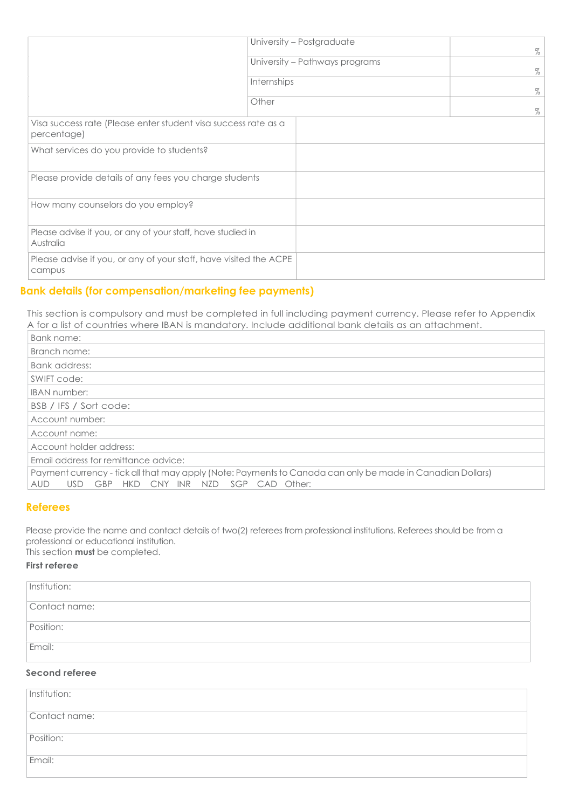|                                                                               | University - Postgraduate      | $\%$ |
|-------------------------------------------------------------------------------|--------------------------------|------|
|                                                                               | University - Pathways programs |      |
|                                                                               | Internships                    | $\%$ |
|                                                                               | Other                          | $\%$ |
| Visa success rate (Please enter student visa success rate as a<br>percentage) |                                |      |
| What services do you provide to students?                                     |                                |      |
| Please provide details of any fees you charge students                        |                                |      |
| How many counselors do you employ?                                            |                                |      |
| Please advise if you, or any of your staff, have studied in<br>Australia      |                                |      |
| Please advise if you, or any of your staff, have visited the ACPE<br>campus   |                                |      |
|                                                                               |                                |      |

### Bank details (for compensation/marketing fee payments)

This section is compulsory and must be completed in full including payment currency. Please refer to Appendix A for a list of countries where IBAN is mandatory. Include additional bank details as an attachment.

| Bank name:                                                                                                 |
|------------------------------------------------------------------------------------------------------------|
| Branch name:                                                                                               |
| Bank address:                                                                                              |
| SWIFT code:                                                                                                |
| <b>IBAN</b> number:                                                                                        |
| BSB / IFS / Sort code:                                                                                     |
| Account number:                                                                                            |
| Account name:                                                                                              |
| Account holder address:                                                                                    |
| Email address for remittance advice:                                                                       |
| Payment currency - tick all that may apply (Note: Payments to Canada can only be made in Canadian Dollars) |
| HKD CNY INR<br>NZD SGP CAD Other:<br>GBP<br>AUD<br><b>USD</b>                                              |

#### Referees

Please provide the name and contact details of two(2) referees from professional institutions. Referees should be from a professional or educational institution.

This section **must** be completed.

#### First referee

| Institution:   |  |
|----------------|--|
| Contact name:  |  |
| Position:      |  |
| Email:         |  |
| Second referee |  |

| Institution:  |  |
|---------------|--|
| Contact name: |  |
| Position:     |  |
| Email:        |  |
|               |  |